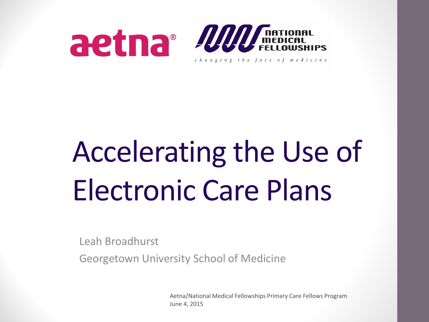

## Accelerating the Use of Electronic Care Plans

Leah Broadhurst

Georgetown University School of Medicine

Aetna/National Medical Fellowships Primary Care Fellows Program June 4, 2015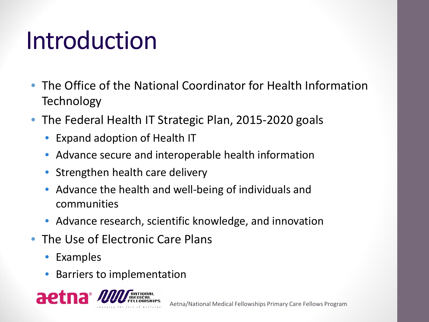#### Introduction

- The Office of the National Coordinator for Health Information **Technology**
- The Federal Health IT Strategic Plan, 2015-2020 goals
	- Expand adoption of Health IT
	- Advance secure and interoperable health information
	- Strengthen health care delivery
	- Advance the health and well-being of individuals and communities
	- Advance research, scientific knowledge, and innovation
- The Use of Electronic Care Plans
	- Examples
	- Barriers to implementation

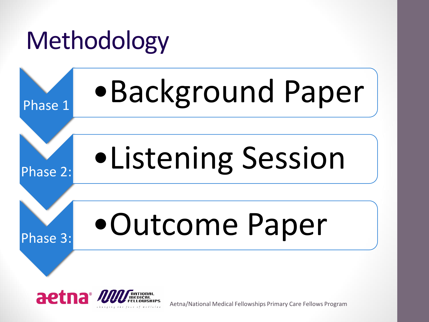# Methodology Phase 1 •Background Paper Phase 2: •Listening Session Phase 3: •Outcome Paper



Aetna/National Medical Fellowships Primary Care Fellows Program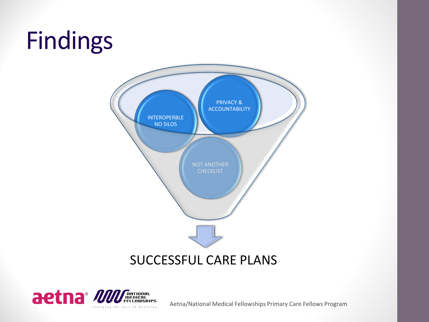#### Findings



#### SUCCESSFUL CARE PLANS



Aetna/National Medical Fellowships Primary Care Fellows Program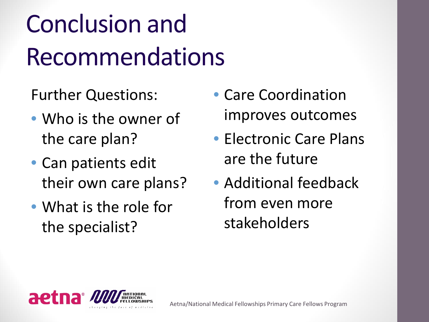### Conclusion and Recommendations

Further Questions:

- Who is the owner of the care plan?
- Can patients edit their own care plans?
- What is the role for the specialist?
- Care Coordination improves outcomes
- Electronic Care Plans are the future
- Additional feedback from even more stakeholders